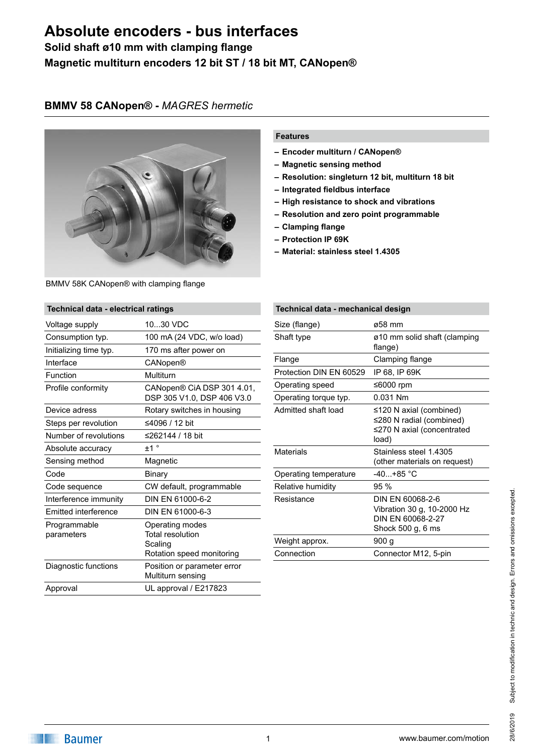### **Solid shaft ø10 mm with clamping flange Magnetic multiturn encoders 12 bit ST / 18 bit MT, CANopen®**

#### **BMMV 58 CANopen® -** *MAGRES hermetic*



BMMV 58K CANopen® with clamping flange

# **Technical data - electrical ratings**

| commodi data - cicculical ratingo |                                                                                    |
|-----------------------------------|------------------------------------------------------------------------------------|
| Voltage supply                    | 1030 VDC                                                                           |
| Consumption typ.                  | 100 mA (24 VDC, w/o load)                                                          |
| Initializing time typ.            | 170 ms after power on                                                              |
| Interface                         | CANopen®                                                                           |
| Function                          | Multiturn                                                                          |
| Profile conformity                | CANopen® CiA DSP 301 4.01,<br>DSP 305 V1.0, DSP 406 V3.0                           |
| Device adress                     | Rotary switches in housing                                                         |
| Steps per revolution              | ≤4096 / 12 bit                                                                     |
| Number of revolutions             | ≤262144 / 18 bit                                                                   |
| Absolute accuracy                 | ±1°                                                                                |
| Sensing method                    | Magnetic                                                                           |
| Code                              | Binary                                                                             |
| Code sequence                     | CW default, programmable                                                           |
| Interference immunity             | DIN EN 61000-6-2                                                                   |
| <b>Emitted interference</b>       | DIN EN 61000-6-3                                                                   |
| Programmable<br>parameters        | Operating modes<br><b>Total resolution</b><br>Scaling<br>Rotation speed monitoring |
| Diagnostic functions              | Position or parameter error<br>Multiturn sensing                                   |
| Approval                          | UL approval / E217823                                                              |

#### **Features**

- **– Encoder multiturn / CANopen®**
- **– Magnetic sensing method**
- **– Resolution: singleturn 12 bit, multiturn 18 bit**
- **– Integrated fieldbus interface**
- **– High resistance to shock and vibrations**
- **– Resolution and zero point programmable**
- **– Clamping flange**
- **– Protection IP 69K**
- **– Material: stainless steel 1.4305**

| Technical data - mechanical design                                                         |  |  |
|--------------------------------------------------------------------------------------------|--|--|
| ø58 mm                                                                                     |  |  |
| ø10 mm solid shaft (clamping<br>flange)                                                    |  |  |
| Clamping flange                                                                            |  |  |
| IP 68, IP 69K                                                                              |  |  |
| ≤6000 rpm                                                                                  |  |  |
| 0.031 Nm                                                                                   |  |  |
| ≤120 N axial (combined)<br>≤280 N radial (combined)<br>≤270 N axial (concentrated<br>load) |  |  |
| Stainless steel 1.4305<br>(other materials on request)                                     |  |  |
| -40…+85 °C                                                                                 |  |  |
| 95%                                                                                        |  |  |
| DIN EN 60068-2-6<br>Vibration 30 g, 10-2000 Hz<br>DIN FN 60068-2-27<br>Shock 500 g, 6 ms   |  |  |
| 900 g                                                                                      |  |  |
| Connector M12, 5-pin                                                                       |  |  |
|                                                                                            |  |  |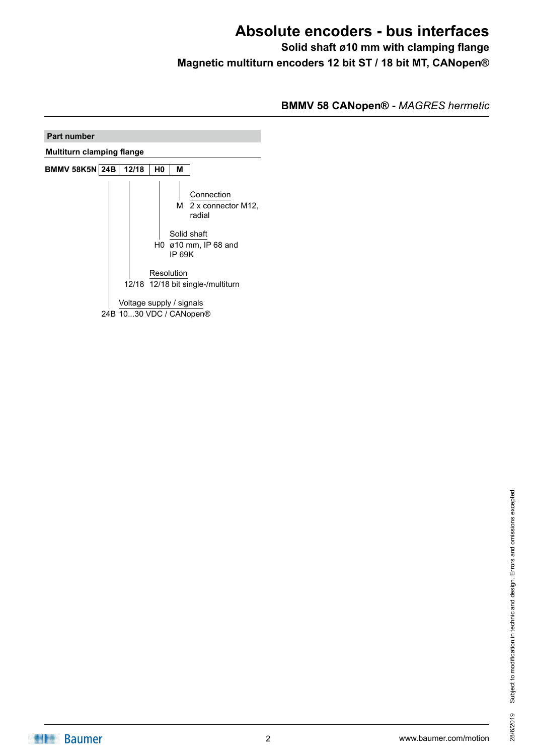**Solid shaft ø10 mm with clamping flange Magnetic multiturn encoders 12 bit ST / 18 bit MT, CANopen®**

**BMMV 58 CANopen® -** *MAGRES hermetic*

| <b>Part number</b>               |  |                                                     |                |               |                                                                                     |
|----------------------------------|--|-----------------------------------------------------|----------------|---------------|-------------------------------------------------------------------------------------|
| <b>Multiturn clamping flange</b> |  |                                                     |                |               |                                                                                     |
| <b>BMMV 58K5N 24B</b>            |  | 12/18                                               | H <sub>0</sub> | М             |                                                                                     |
|                                  |  |                                                     |                | <b>IP 69K</b> | Connection<br>M 2 x connector M12,<br>radial<br>Solid shaft<br>H0 ø10 mm, IP 68 and |
|                                  |  |                                                     |                | Resolution    | 12/18 12/18 bit single-/multiturn                                                   |
|                                  |  | Voltage supply / signals<br>24B 1030 VDC / CANopen® |                |               |                                                                                     |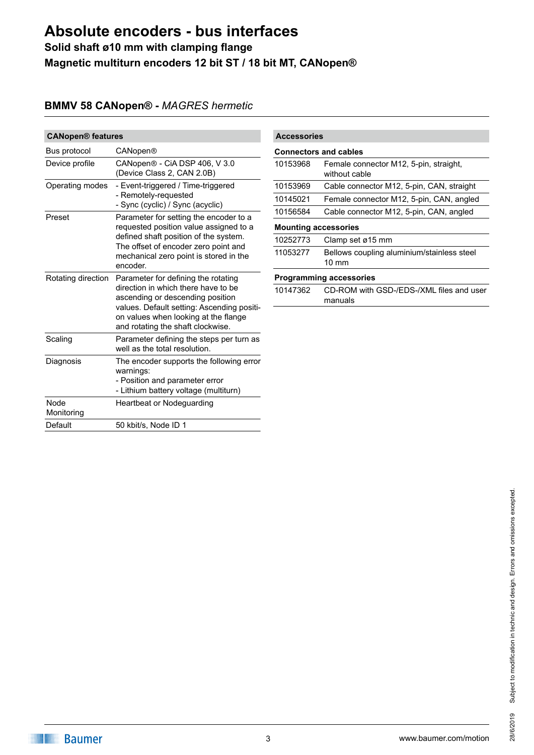### **Solid shaft ø10 mm with clamping flange Magnetic multiturn encoders 12 bit ST / 18 bit MT, CANopen®**

### **BMMV 58 CANopen® -** *MAGRES hermetic*

| <b>CANopen® features</b> |                                                                                                                                                                                                                                           |  |
|--------------------------|-------------------------------------------------------------------------------------------------------------------------------------------------------------------------------------------------------------------------------------------|--|
| Bus protocol             | CANopen®                                                                                                                                                                                                                                  |  |
| Device profile           | CANopen® - CiA DSP 406, V 3.0<br>(Device Class 2, CAN 2.0B)                                                                                                                                                                               |  |
| Operating modes          | - Event-triggered / Time-triggered<br>- Remotely-requested<br>- Sync (cyclic) / Sync (acyclic)                                                                                                                                            |  |
| Preset                   | Parameter for setting the encoder to a<br>requested position value assigned to a<br>defined shaft position of the system.<br>The offset of encoder zero point and<br>mechanical zero point is stored in the<br>encoder.                   |  |
| Rotating direction       | Parameter for defining the rotating<br>direction in which there have to be<br>ascending or descending position<br>values. Default setting: Ascending positi-<br>on values when looking at the flange<br>and rotating the shaft clockwise. |  |
| Scaling                  | Parameter defining the steps per turn as<br>well as the total resolution.                                                                                                                                                                 |  |
| Diagnosis                | The encoder supports the following error<br>warnings:<br>- Position and parameter error<br>- Lithium battery voltage (multiturn)                                                                                                          |  |
| Node<br>Monitoring       | Heartbeat or Nodeguarding                                                                                                                                                                                                                 |  |
| Default                  | 50 kbit/s, Node ID 1                                                                                                                                                                                                                      |  |

| <b>Accessories</b>           |                                                               |  |
|------------------------------|---------------------------------------------------------------|--|
| <b>Connectors and cables</b> |                                                               |  |
| 10153968                     | Female connector M12, 5-pin, straight,<br>without cable       |  |
| 10153969                     | Cable connector M12, 5-pin, CAN, straight                     |  |
| 10145021                     | Female connector M12, 5-pin, CAN, angled                      |  |
| 10156584                     | Cable connector M12, 5-pin, CAN, angled                       |  |
| <b>Mounting accessories</b>  |                                                               |  |
| 10252773                     | Clamp set ø15 mm                                              |  |
| 11053277                     | Bellows coupling aluminium/stainless steel<br>$10 \text{ mm}$ |  |
|                              | Programming accessories                                       |  |
| 10147362                     | CD-ROM with GSD-/EDS-/XML files and user<br>manuals           |  |
|                              |                                                               |  |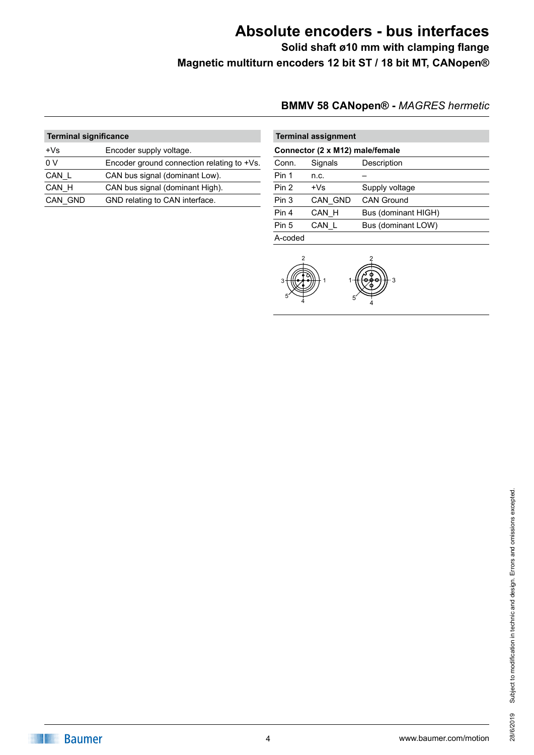**Solid shaft ø10 mm with clamping flange Magnetic multiturn encoders 12 bit ST / 18 bit MT, CANopen®**

### **BMMV 58 CANopen® -** *MAGRES hermetic*

| <b>Terminal significance</b> |                                            | <b>Terminal assignment</b> |                     |
|------------------------------|--------------------------------------------|----------------------------|---------------------|
| $+Vs$                        | Encoder supply voltage.                    |                            | Connector (2 x M12) |
| 0 <sub>V</sub>               | Encoder ground connection relating to +Vs. | Conn.                      | Signals             |
| CAN_L                        | CAN bus signal (dominant Low).             | Pin 1                      | n.c.                |
| CAN H                        | CAN bus signal (dominant High).            | Pin 2                      | $+Vs$               |
| CAN GND                      | GND relating to CAN interface.             | Pin 3                      | CAN GND             |
|                              |                                            |                            |                     |

| <b>Terminal assignment</b>      |         |                     |  |
|---------------------------------|---------|---------------------|--|
| Connector (2 x M12) male/female |         |                     |  |
| Conn.                           | Signals | Description         |  |
| Pin 1                           | n.c.    |                     |  |
| Pin 2                           | $+Vs$   | Supply voltage      |  |
| Pin 3                           | CAN GND | <b>CAN Ground</b>   |  |
| Pin 4                           | CAN H   | Bus (dominant HIGH) |  |
| Pin 5                           | CAN L   | Bus (dominant LOW)  |  |
| A-coded                         |         |                     |  |

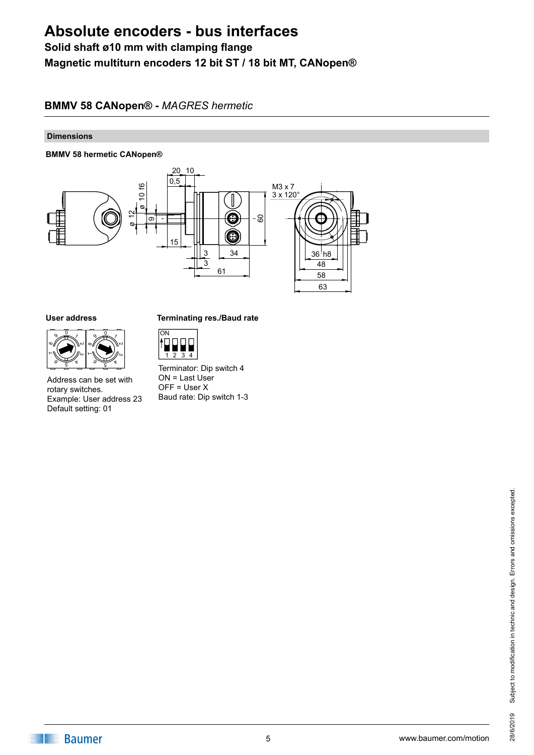### **Solid shaft ø10 mm with clamping flange Magnetic multiturn encoders 12 bit ST / 18 bit MT, CANopen®**

#### **BMMV 58 CANopen® -** *MAGRES hermetic*

#### **Dimensions**

#### **BMMV 58 hermetic CANopen®**



#### **User address**



Address can be set with rotary switches. Example: User address 23 Default setting: 01

#### **Terminating res./Baud rate**



Terminator: Dip switch 4  $ON = Last User$  $OFF = User X$ Baud rate: Dip switch 1-3

**Baumer**